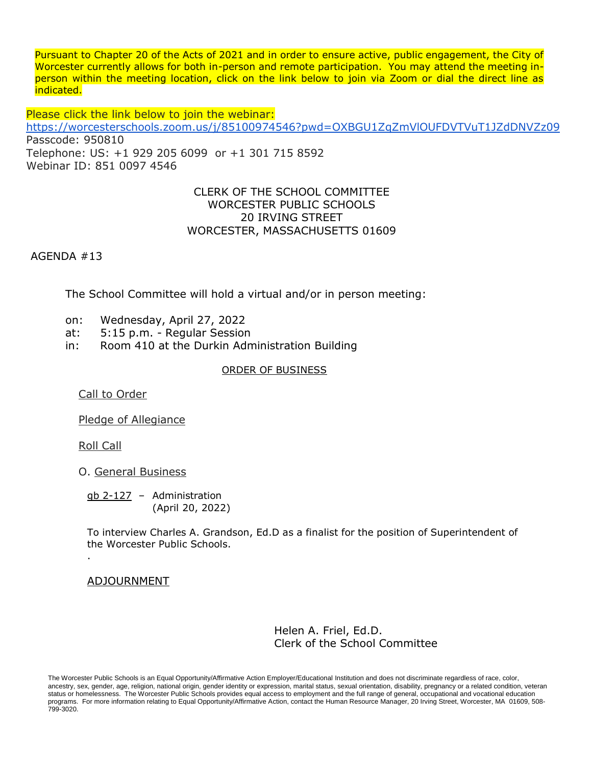Pursuant to Chapter 20 of the Acts of 2021 and in order to ensure active, public engagement, the City of Worcester currently allows for both in-person and remote participation. You may attend the meeting inperson within the meeting location, click on the link below to join via Zoom or dial the direct line as indicated.

Please click the link below to join the webinar:

<https://worcesterschools.zoom.us/j/85100974546?pwd=OXBGU1ZqZmVlOUFDVTVuT1JZdDNVZz09> Passcode: 950810 Telephone: US: +1 929 205 6099 or +1 301 715 8592 Webinar ID: 851 0097 4546

## CLERK OF THE SCHOOL COMMITTEE WORCESTER PUBLIC SCHOOLS 20 IRVING STREET WORCESTER, MASSACHUSETTS 01609

AGENDA #13

The School Committee will hold a virtual and/or in person meeting:

- on: Wednesday, April 27, 2022
- at: 5:15 p.m. Regular Session
- in: Room 410 at the Durkin Administration Building

## ORDER OF BUSINESS

Call to Order

Pledge of Allegiance

Roll Call

.

O. General Business

gb 2-127 – Administration (April 20, 2022)

To interview Charles A. Grandson, Ed.D as a finalist for the position of Superintendent of the Worcester Public Schools.

## ADJOURNMENT

Helen A. Friel, Ed.D. Clerk of the School Committee

The Worcester Public Schools is an Equal Opportunity/Affirmative Action Employer/Educational Institution and does not discriminate regardless of race, color, ancestry, sex, gender, age, religion, national origin, gender identity or expression, marital status, sexual orientation, disability, pregnancy or a related condition, veteran status or homelessness. The Worcester Public Schools provides equal access to employment and the full range of general, occupational and vocational education programs. For more information relating to Equal Opportunity/Affirmative Action, contact the Human Resource Manager, 20 Irving Street, Worcester, MA 01609, 508- 799-3020.